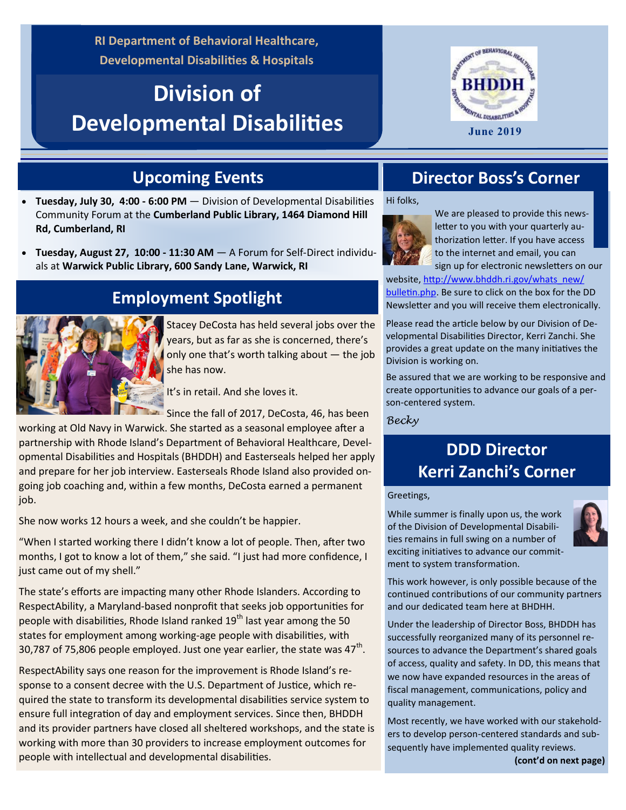**RI Department of Behavioral Healthcare, Developmental Disabilities & Hospitals**

# **Division of Developmental Disabilities**



### **Upcoming Events**

- **Tuesday, July 30, 4:00 - 6:00 PM**  Division of Developmental Disabilities Community Forum at the **Cumberland Public Library, 1464 Diamond Hill Rd, Cumberland, RI**
- **Tuesday, August 27, 10:00 - 11:30 AM**  A Forum for Self-Direct individuals at **Warwick Public Library, 600 Sandy Lane, Warwick, RI**

## **Employment Spotlight**

Stacey DeCosta has held several jobs over the years, but as far as she is concerned, there's only one that's worth talking about — the job she has now.

It's in retail. And she loves it.

Since the fall of 2017, DeCosta, 46, has been

working at Old Navy in Warwick. She started as a seasonal employee after a partnership with Rhode Island's Department of Behavioral Healthcare, Developmental Disabilities and Hospitals (BHDDH) and Easterseals helped her apply and prepare for her job interview. Easterseals Rhode Island also provided ongoing job coaching and, within a few months, DeCosta earned a permanent job.

She now works 12 hours a week, and she couldn't be happier.

"When I started working there I didn't know a lot of people. Then, after two months, I got to know a lot of them," she said. "I just had more confidence, I just came out of my shell."

The state's efforts are impacting many other Rhode Islanders. According to RespectAbility, a Maryland-based nonprofit that seeks job opportunities for people with disabilities, Rhode Island ranked  $19<sup>th</sup>$  last year among the 50 states for employment among working-age people with disabilities, with 30,787 of 75,806 people employed. Just one year earlier, the state was 47<sup>th</sup>.

RespectAbility says one reason for the improvement is Rhode Island's response to a consent decree with the U.S. Department of Justice, which required the state to transform its developmental disabilities service system to ensure full integration of day and employment services. Since then, BHDDH and its provider partners have closed all sheltered workshops, and the state is working with more than 30 providers to increase employment outcomes for people with intellectual and developmental disabilities.

### **Director Boss's Corner**

Hi folks,



We are pleased to provide this newsletter to you with your quarterly authorization letter. If you have access to the internet and email, you can sign up for electronic newsletters on our

website, [http://www.bhddh.ri.gov/whats\\_new/](http://www.bhddh.ri.gov/whats_new/bulletin.php) [bulletin.php.](http://www.bhddh.ri.gov/whats_new/bulletin.php) Be sure to click on the box for the DD Newsletter and you will receive them electronically.

Please read the article below by our Division of Developmental Disabilities Director, Kerri Zanchi. She provides a great update on the many initiatives the Division is working on.

Be assured that we are working to be responsive and create opportunities to advance our goals of a person-centered system.

*Becky*

### **DDD Director Kerri Zanchi's Corner**

#### Greetings,

While summer is finally upon us, the work of the Division of Developmental Disabilities remains in full swing on a number of exciting initiatives to advance our commitment to system transformation.



This work however, is only possible because of the continued contributions of our community partners and our dedicated team here at BHDHH.

Under the leadership of Director Boss, BHDDH has successfully reorganized many of its personnel resources to advance the Department's shared goals of access, quality and safety. In DD, this means that we now have expanded resources in the areas of fiscal management, communications, policy and quality management.

Most recently, we have worked with our stakeholders to develop person-centered standards and subsequently have implemented quality reviews.